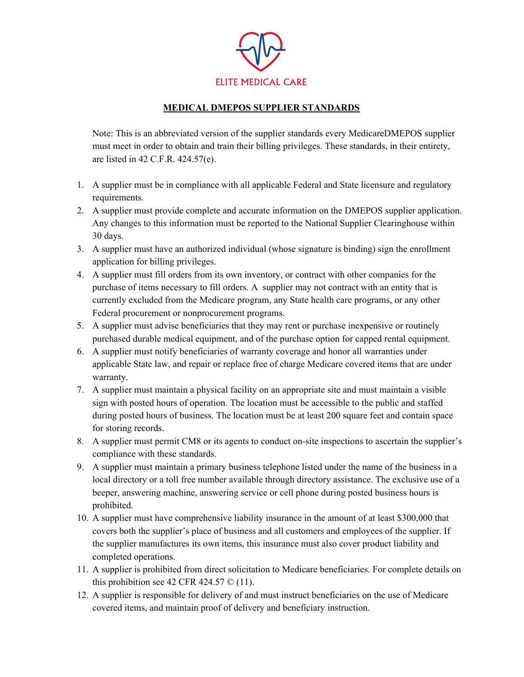

## **MEDICAL DMEPOS SUPPLIER STANDARDS**

Note: This is an abbreviated version of the supplier standards every MedicareDMEPOS supplier must meet in order to obtain and train their billing privileges. These standards, in their entirety, are listed in 42 C.F.R. 424.57(e).

- 1. A supplier must be in compliance with all applicable Federal and State licensure and regulatory requirements.
- 2. A supplier must provide complete and accurate information on the DMEPOS supplier application. Any changes to this information must be reported to the National Supplier Clearinghouse within 30 days.
- 3. A supplier must have an authorized individual (whose signature is binding) sign the enrollment application for billing privileges.
- 4. A supplier must fill orders from its own inventory, or contract with other companies for the purchase of items necessary to fill orders. A supplier may not contract with an entity that is currently excluded from the Medicare program, any State health care programs, or any other Federal procurement or nonprocurement programs.
- 5. A supplier must advise beneficiaries that they may rent or purchase inexpensive or routinely purchased durable medical equipment, and of the purchase option for capped rental equipment.
- 6. A supplier must notify beneficiaries of warranty coverage and honor all warranties under applicable State law, and repair or replace free of charge Medicare covered items that are under warranty.
- 7. A supplier must maintain a physical facility on an appropriate site and must maintain a visible sign with posted hours of operation. The location must be accessible to the public and staffed during posted hours of business. The location must be at least 200 square feet and contain space for storing records.
- 8. A supplier must permit CM8 or its agents to conduct on-site inspections to ascertain the supplier's compliance with these standards.
- 9. A supplier must maintain a primary business telephone listed under the name of the business in a local directory or a toll free number available through directory assistance. The exclusive use of a beeper, answering machine, answering service or cell phone during posted business hours is prohibited.
- 10. A supplier must have comprehensive liability insurance in the amount of at least \$300,000 that covers both the supplier's place of business and all customers and employees of the supplier. If the supplier manufactures its own items, this insurance must also cover product liability and completed operations.
- 11. A supplier is prohibited from direct solicitation to Medicare beneficiaries. For complete details on this prohibition see 42 CFR 424.57  $\odot$  (11).
- 12. A supplier is responsible for delivery of and must instruct beneficiaries on the use of Medicare covered items, and maintain proof of delivery and beneficiary instruction.